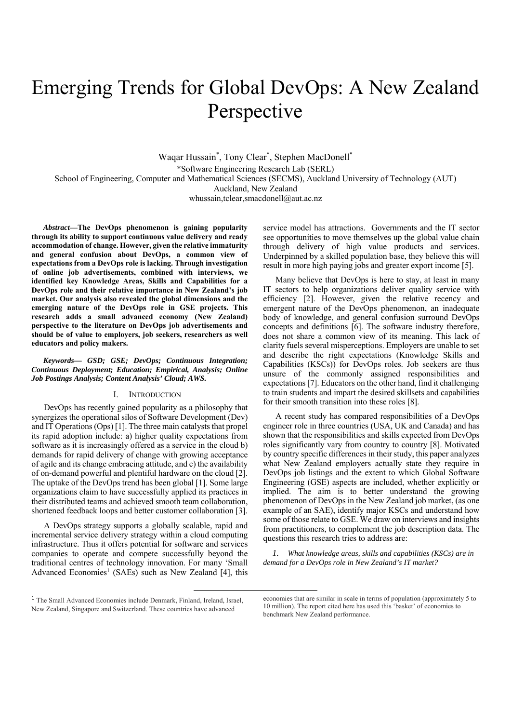# Emerging Trends for Global DevOps: A New Zealand Perspective

Waqar Hussain\* , Tony Clear\* , Stephen MacDonell\* \*Software Engineering Research Lab (SERL) School of Engineering, Computer and Mathematical Sciences (SECMS), Auckland University of Technology (AUT) Auckland, New Zealand whussain,tclear,smacdonell@aut.ac.nz

*Abstract***—The DevOps phenomenon is gaining popularity through its ability to support continuous value delivery and ready accommodation of change. However, given the relative immaturity and general confusion about DevOps, a common view of expectations from a DevOps role is lacking. Through investigation of online job advertisements, combined with interviews, we identified key Knowledge Areas, Skills and Capabilities for a DevOps role and their relative importance in New Zealand's job market. Our analysis also revealed the global dimensions and the emerging nature of the DevOps role in GSE projects. This research adds a small advanced economy (New Zealand) perspective to the literature on DevOps job advertisements and should be of value to employers, job seekers, researchers as well educators and policy makers.** 

*Keywords— GSD; GSE; DevOps; Continuous Integration; Continuous Deployment; Education; Empirical, Analysis; Online Job Postings Analysis; Content Analysis' Cloud; AWS.* 

#### I. INTRODUCTION

DevOps has recently gained popularity as a philosophy that synergizes the operational silos of Software Development (Dev) and IT Operations (Ops) [1]. The three main catalysts that propel its rapid adoption include: a) higher quality expectations from software as it is increasingly offered as a service in the cloud b) demands for rapid delivery of change with growing acceptance of agile and its change embracing attitude, and c) the availability of on-demand powerful and plentiful hardware on the cloud [2]. The uptake of the DevOps trend has been global [1]. Some large organizations claim to have successfully applied its practices in their distributed teams and achieved smooth team collaboration, shortened feedback loops and better customer collaboration [3].

A DevOps strategy supports a globally scalable, rapid and incremental service delivery strategy within a cloud computing infrastructure. Thus it offers potential for software and services companies to operate and compete successfully beyond the traditional centres of technology innovation. For many 'Small Advanced Economies<sup>1</sup> (SAEs) such as New Zealand [4], this service model has attractions. Governments and the IT sector see opportunities to move themselves up the global value chain through delivery of high value products and services. Underpinned by a skilled population base, they believe this will result in more high paying jobs and greater export income [5].

Many believe that DevOps is here to stay, at least in many IT sectors to help organizations deliver quality service with efficiency [2]. However, given the relative recency and emergent nature of the DevOps phenomenon, an inadequate body of knowledge, and general confusion surround DevOps concepts and definitions [6]. The software industry therefore, does not share a common view of its meaning. This lack of clarity fuels several misperceptions. Employers are unable to set and describe the right expectations (Knowledge Skills and Capabilities (KSCs)) for DevOps roles. Job seekers are thus unsure of the commonly assigned responsibilities and expectations [7]. Educators on the other hand, find it challenging to train students and impart the desired skillsets and capabilities for their smooth transition into these roles [8].

A recent study has compared responsibilities of a DevOps engineer role in three countries (USA, UK and Canada) and has shown that the responsibilities and skills expected from DevOps roles significantly vary from country to country [8]. Motivated by country specific differences in their study, this paper analyzes what New Zealand employers actually state they require in DevOps job listings and the extent to which Global Software Engineering (GSE) aspects are included, whether explicitly or implied. The aim is to better understand the growing phenomenon of DevOps in the New Zealand job market, (as one example of an SAE), identify major KSCs and understand how some of those relate to GSE. We draw on interviews and insights from practitioners, to complement the job description data. The questions this research tries to address are:

*1. What knowledge areas, skills and capabilities (KSCs) are in demand for a DevOps role in New Zealand's IT market?* 

1

<sup>1</sup> The Small Advanced Economies include Denmark, Finland, Ireland, Israel, New Zealand, Singapore and Switzerland. These countries have advanced

economies that are similar in scale in terms of population (approximately 5 to 10 million). The report cited here has used this 'basket' of economies to benchmark New Zealand performance.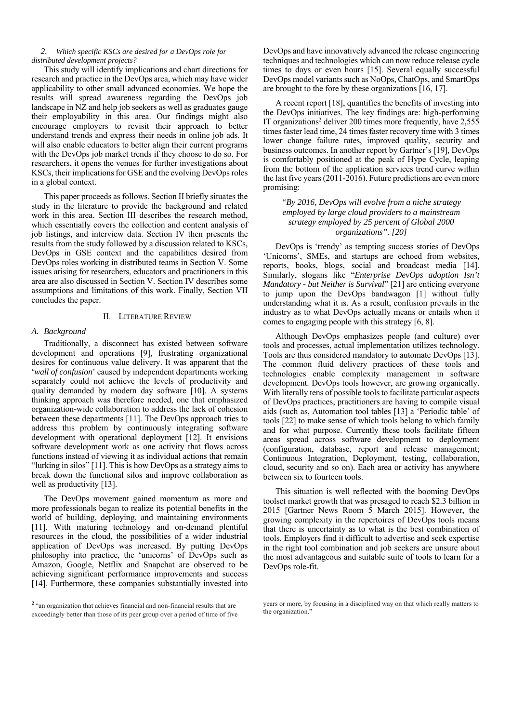#### *2. Which specific KSCs are desired for a DevOps role for distributed development projects?*

This study will identify implications and chart directions for research and practice in the DevOps area, which may have wider applicability to other small advanced economies. We hope the results will spread awareness regarding the DevOps job landscape in NZ and help job seekers as well as graduates gauge their employability in this area. Our findings might also encourage employers to revisit their approach to better understand trends and express their needs in online job ads. It will also enable educators to better align their current programs with the DevOps job market trends if they choose to do so. For researchers, it opens the venues for further investigations about KSCs, their implications for GSE and the evolving DevOps roles in a global context.

This paper proceeds as follows. Section II briefly situates the study in the literature to provide the background and related work in this area. Section III describes the research method, which essentially covers the collection and content analysis of job listings, and interview data. Section IV then presents the results from the study followed by a discussion related to KSCs, DevOps in GSE context and the capabilities desired from DevOps roles working in distributed teams in Section V. Some issues arising for researchers, educators and practitioners in this area are also discussed in Section V. Section IV describes some assumptions and limitations of this work. Finally, Section VII concludes the paper.

# II. LITERATURE REVIEW

# *A. Background*

Traditionally, a disconnect has existed between software development and operations [9], frustrating organizational desires for continuous value delivery. It was apparent that the '*wall of confusion*' caused by independent departments working separately could not achieve the levels of productivity and quality demanded by modern day software [10]. A systems thinking approach was therefore needed, one that emphasized organization-wide collaboration to address the lack of cohesion between these departments [11]. The DevOps approach tries to address this problem by continuously integrating software development with operational deployment [12]. It envisions software development work as one activity that flows across functions instead of viewing it as individual actions that remain "lurking in silos" [11]. This is how DevOps as a strategy aims to break down the functional silos and improve collaboration as well as productivity [13].

The DevOps movement gained momentum as more and more professionals began to realize its potential benefits in the world of building, deploying, and maintaining environments [11]. With maturing technology and on-demand plentiful resources in the cloud, the possibilities of a wider industrial application of DevOps was increased. By putting DevOps philosophy into practice, the 'unicorns' of DevOps such as Amazon, Google, Netflix and Snapchat are observed to be achieving significant performance improvements and success [14]. Furthermore, these companies substantially invested into DevOps and have innovatively advanced the release engineering techniques and technologies which can now reduce release cycle times to days or even hours [15]. Several equally successful DevOps model variants such as NoOps, ChatOps, and SmartOps are brought to the fore by these organizations [16, 17].

A recent report [18], quantifies the benefits of investing into the DevOps initiatives. The key findings are: high-performing IT organizations<sup>2</sup> deliver 200 times more frequently, have 2,555 times faster lead time, 24 times faster recovery time with 3 times lower change failure rates, improved quality, security and business outcomes. In another report by Gartner's [19], DevOps is comfortably positioned at the peak of Hype Cycle, leaping from the bottom of the application services trend curve within the last five years (2011-2016). Future predictions are even more promising:

# *"By 2016, DevOps will evolve from a niche strategy employed by large cloud providers to a mainstream strategy employed by 25 percent of Global 2000 organizations". [20]*

DevOps is 'trendy' as tempting success stories of DevOps 'Unicorns', SMEs, and startups are echoed from websites, reports, books, blogs, social and broadcast media [14]. Similarly, slogans like "*Enterprise DevOps adoption Isn't Mandatory - but Neither is Survival*" [21] are enticing everyone to jump upon the DevOps bandwagon [1] without fully understanding what it is. As a result, confusion prevails in the industry as to what DevOps actually means or entails when it comes to engaging people with this strategy [6, 8].

Although DevOps emphasizes people (and culture) over tools and processes, actual implementation utilizes technology. Tools are thus considered mandatory to automate DevOps [13]. The common fluid delivery practices of these tools and technologies enable complexity management in software development. DevOps tools however, are growing organically. With literally tens of possible tools to facilitate particular aspects of DevOps practices, practitioners are having to compile visual aids (such as, Automation tool tables [13] a 'Periodic table' of tools [22] to make sense of which tools belong to which family and for what purpose. Currently these tools facilitate fifteen areas spread across software development to deployment (configuration, database, report and release management; Continuous Integration, Deployment, testing, collaboration, cloud, security and so on). Each area or activity has anywhere between six to fourteen tools.

This situation is well reflected with the booming DevOps toolset market growth that was presaged to reach \$2.3 billion in 2015 [Gartner News Room 5 March 2015]. However, the growing complexity in the repertoires of DevOps tools means that there is uncertainty as to what is the best combination of tools. Employers find it difficult to advertise and seek expertise in the right tool combination and job seekers are unsure about the most advantageous and suitable suite of tools to learn for a DevOps role-fit.

-

<sup>2</sup>"an organization that achieves financial and non-financial results that are exceedingly better than those of its peer group over a period of time of five

years or more, by focusing in a disciplined way on that which really matters to the organization.'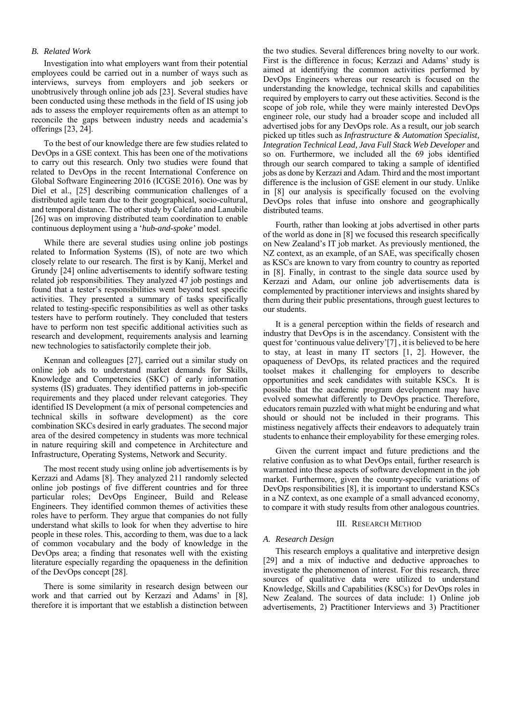# *B. Related Work*

Investigation into what employers want from their potential employees could be carried out in a number of ways such as interviews, surveys from employers and job seekers or unobtrusively through online job ads [23]. Several studies have been conducted using these methods in the field of IS using job ads to assess the employer requirements often as an attempt to reconcile the gaps between industry needs and academia's offerings [23, 24].

To the best of our knowledge there are few studies related to DevOps in a GSE context. This has been one of the motivations to carry out this research. Only two studies were found that related to DevOps in the recent International Conference on Global Software Engineering 2016 (ICGSE 2016). One was by Diel et al., [25] describing communication challenges of a distributed agile team due to their geographical, socio-cultural, and temporal distance. The other study by Calefato and Lanubile [26] was on improving distributed team coordination to enable continuous deployment using a '*hub-and-spoke'* model.

While there are several studies using online job postings related to Information Systems (IS), of note are two which closely relate to our research. The first is by Kanij, Merkel and Grundy [24] online advertisements to identify software testing related job responsibilities. They analyzed 47 job postings and found that a tester's responsibilities went beyond test specific activities. They presented a summary of tasks specifically related to testing-specific responsibilities as well as other tasks testers have to perform routinely. They concluded that testers have to perform non test specific additional activities such as research and development, requirements analysis and learning new technologies to satisfactorily complete their job.

Kennan and colleagues [27], carried out a similar study on online job ads to understand market demands for Skills, Knowledge and Competencies (SKC) of early information systems (IS) graduates. They identified patterns in job-specific requirements and they placed under relevant categories. They identified IS Development (a mix of personal competencies and technical skills in software development) as the core combination SKCs desired in early graduates. The second major area of the desired competency in students was more technical in nature requiring skill and competence in Architecture and Infrastructure, Operating Systems, Network and Security.

The most recent study using online job advertisements is by Kerzazi and Adams [8]. They analyzed 211 randomly selected online job postings of five different countries and for three particular roles; DevOps Engineer, Build and Release Engineers. They identified common themes of activities these roles have to perform. They argue that companies do not fully understand what skills to look for when they advertise to hire people in these roles. This, according to them, was due to a lack of common vocabulary and the body of knowledge in the DevOps area; a finding that resonates well with the existing literature especially regarding the opaqueness in the definition of the DevOps concept [28].

There is some similarity in research design between our work and that carried out by Kerzazi and Adams' in [8], therefore it is important that we establish a distinction between

the two studies. Several differences bring novelty to our work. First is the difference in focus; Kerzazi and Adams' study is aimed at identifying the common activities performed by DevOps Engineers whereas our research is focused on the understanding the knowledge, technical skills and capabilities required by employers to carry out these activities. Second is the scope of job role, while they were mainly interested DevOps engineer role, our study had a broader scope and included all advertised jobs for any DevOps role. As a result, our job search picked up titles such as *Infrastructure & Automation Specialist, Integration Technical Lead, Java Full Stack Web Developer* and so on. Furthermore, we included all the 69 jobs identified through our search compared to taking a sample of identified jobs as done by Kerzazi and Adam. Third and the most important difference is the inclusion of GSE element in our study. Unlike in [8] our analysis is specifically focused on the evolving DevOps roles that infuse into onshore and geographically distributed teams.

Fourth, rather than looking at jobs advertised in other parts of the world as done in [8] we focused this research specifically on New Zealand's IT job market. As previously mentioned, the NZ context, as an example, of an SAE, was specifically chosen as KSCs are known to vary from country to country as reported in [8]. Finally, in contrast to the single data source used by Kerzazi and Adam, our online job advertisements data is complemented by practitioner interviews and insights shared by them during their public presentations, through guest lectures to our students.

It is a general perception within the fields of research and industry that DevOps is in the ascendancy. Consistent with the quest for 'continuous value delivery'[7] , it is believed to be here to stay, at least in many IT sectors [1, 2]. However, the opaqueness of DevOps, its related practices and the required toolset makes it challenging for employers to describe opportunities and seek candidates with suitable KSCs. It is possible that the academic program development may have evolved somewhat differently to DevOps practice. Therefore, educators remain puzzled with what might be enduring and what should or should not be included in their programs. This mistiness negatively affects their endeavors to adequately train students to enhance their employability for these emerging roles.

Given the current impact and future predictions and the relative confusion as to what DevOps entail, further research is warranted into these aspects of software development in the job market. Furthermore, given the country-specific variations of DevOps responsibilities [8], it is important to understand KSCs in a NZ context, as one example of a small advanced economy, to compare it with study results from other analogous countries.

# III. RESEARCH METHOD

# *A. Research Design*

This research employs a qualitative and interpretive design [29] and a mix of inductive and deductive approaches to investigate the phenomenon of interest. For this research, three sources of qualitative data were utilized to understand Knowledge, Skills and Capabilities (KSCs) for DevOps roles in New Zealand. The sources of data include: 1) Online job advertisements, 2) Practitioner Interviews and 3) Practitioner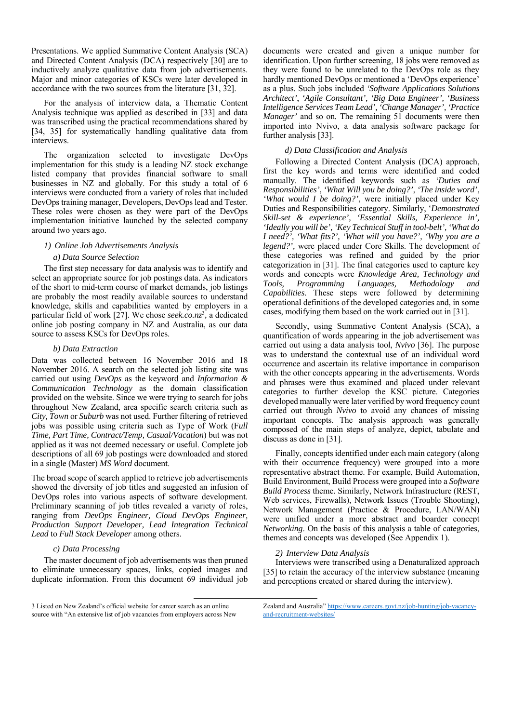Presentations. We applied Summative Content Analysis (SCA) and Directed Content Analysis (DCA) respectively [30] are to inductively analyze qualitative data from job advertisements. Major and minor categories of KSCs were later developed in accordance with the two sources from the literature [31, 32].

For the analysis of interview data, a Thematic Content Analysis technique was applied as described in [33] and data was transcribed using the practical recommendations shared by [34, 35] for systematically handling qualitative data from interviews.

The organization selected to investigate DevOps implementation for this study is a leading NZ stock exchange listed company that provides financial software to small businesses in NZ and globally. For this study a total of 6 interviews were conducted from a variety of roles that included DevOps training manager, Developers, DevOps lead and Tester. These roles were chosen as they were part of the DevOps implementation initiative launched by the selected company around two years ago.

# *1) Online Job Advertisements Analysis*

#### *a) Data Source Selection*

The first step necessary for data analysis was to identify and select an appropriate source for job postings data. As indicators of the short to mid-term course of market demands, job listings are probably the most readily available sources to understand knowledge, skills and capabilities wanted by employers in a particular field of work [27]. We chose *seek.co.nz*<sup>3</sup> *,* a dedicated online job posting company in NZ and Australia, as our data source to assess KSCs for DevOps roles.

#### *b) Data Extraction*

Data was collected between 16 November 2016 and 18 November 2016. A search on the selected job listing site was carried out using *DevOps* as the keyword and *Information & Communication Technology* as the domain classification provided on the website. Since we were trying to search for jobs throughout New Zealand, area specific search criteria such as *City, Town* or *Suburb* was not used. Further filtering of retrieved jobs was possible using criteria such as Type of Work (F*ull Time, Part Time, Contract/Temp, Casual/Vacation*) but was not applied as it was not deemed necessary or useful. Complete job descriptions of all 69 job postings were downloaded and stored in a single (Master) *MS Word* document.

The broad scope of search applied to retrieve job advertisements showed the diversity of job titles and suggested an infusion of DevOps roles into various aspects of software development. Preliminary scanning of job titles revealed a variety of roles, ranging from *DevOps Engineer, Cloud DevOps Engineer, Production Support Developer, Lead Integration Technical Lead* to *Full Stack Developer* among others.

# *c) Data Processing*

The master document of job advertisements was then pruned to eliminate unnecessary spaces, links, copied images and duplicate information. From this document 69 individual job

documents were created and given a unique number for identification. Upon further screening, 18 jobs were removed as they were found to be unrelated to the DevOps role as they hardly mentioned DevOps or mentioned a 'DevOps experience' as a plus. Such jobs included *'Software Applications Solutions Architect'*, *'Agile Consultant', 'Big Data Engineer', 'Business Intelligence Services Team Lead', 'Change Manager', 'Practice Manager'* and so on*.* The remaining 51 documents were then imported into Nvivo, a data analysis software package for further analysis [33].

# *d) Data Classification and Analysis*

Following a Directed Content Analysis (DCA) approach, first the key words and terms were identified and coded manually. The identified keywords such as *'Duties and Responsibilities'*, *'What Will you be doing?'*, *'The inside word'*, *'What would I be doing?'*, were initially placed under Key Duties and Responsibilities category. Similarly, '*Demonstrated Skill-set & experience', 'Essential Skills, Experience in', 'Ideally you will be', 'Key Technical Stuff in tool-belt', 'What do I need?', 'What fits?', 'What will you have?', 'Why you are a legend?',* were placed under Core Skills. The development of these categories was refined and guided by the prior categorization in [31]. The final categories used to capture key words and concepts were *Knowledge Area, Technology and Tools, Programming Languages, Methodology and Capabilities*. These steps were followed by determining operational definitions of the developed categories and, in some cases, modifying them based on the work carried out in [31].

Secondly, using Summative Content Analysis (SCA), a quantification of words appearing in the job advertisement was carried out using a data analysis tool, *Nvivo* [36]. The purpose was to understand the contextual use of an individual word occurrence and ascertain its relative importance in comparison with the other concepts appearing in the advertisements. Words and phrases were thus examined and placed under relevant categories to further develop the KSC picture. Categories developed manually were later verified by word frequency count carried out through *Nvivo* to avoid any chances of missing important concepts. The analysis approach was generally composed of the main steps of analyze, depict, tabulate and discuss as done in [31].

Finally, concepts identified under each main category (along with their occurrence frequency) were grouped into a more representative abstract theme. For example, Build Automation, Build Environment, Build Process were grouped into a *Software Build Process* theme. Similarly, Network Infrastructure (REST, Web services, Firewalls), Network Issues (Trouble Shooting), Network Management (Practice & Procedure, LAN/WAN) were unified under a more abstract and boarder concept *Networking*. On the basis of this analysis a table of categories, themes and concepts was developed (See Appendix 1).

# *2) Interview Data Analysis*

Interviews were transcribed using a Denaturalized approach [35] to retain the accuracy of the interview substance (meaning and perceptions created or shared during the interview).

 <sup>3</sup> Listed on New Zealand's official website for career search as an online source with "An extensive list of job vacancies from employers across New

Zealand and Australia" https://www.careers.govt.nz/job-hunting/job-vacancyand-recruitment-websites/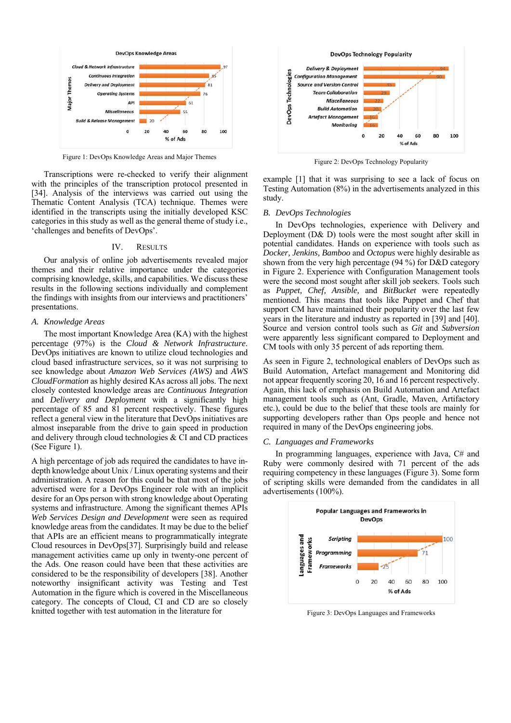

Figure 1: DevOps Knowledge Areas and Major Themes

Transcriptions were re-checked to verify their alignment with the principles of the transcription protocol presented in [34]. Analysis of the interviews was carried out using the Thematic Content Analysis (TCA) technique. Themes were identified in the transcripts using the initially developed KSC categories in this study as well as the general theme of study i.e., 'challenges and benefits of DevOps'.

#### IV. RESULTS

Our analysis of online job advertisements revealed major themes and their relative importance under the categories comprising knowledge, skills, and capabilities. We discuss these results in the following sections individually and complement the findings with insights from our interviews and practitioners' presentations.

#### *A. Knowledge Areas*

The most important Knowledge Area (KA) with the highest percentage (97%) is the *Cloud & Network Infrastructure*. DevOps initiatives are known to utilize cloud technologies and cloud based infrastructure services, so it was not surprising to see knowledge about *Amazon Web Services (AWS)* and *AWS CloudFormation* as highly desired KAs across all jobs. The next closely contested knowledge areas are *Continuous Integration* and *Delivery and Deployment* with a significantly high percentage of 85 and 81 percent respectively. These figures reflect a general view in the literature that DevOps initiatives are almost inseparable from the drive to gain speed in production and delivery through cloud technologies & CI and CD practices (See Figure 1).

A high percentage of job ads required the candidates to have indepth knowledge about Unix / Linux operating systems and their administration. A reason for this could be that most of the jobs advertised were for a DevOps Engineer role with an implicit desire for an Ops person with strong knowledge about Operating systems and infrastructure. Among the significant themes APIs *Web Services Design and Development* were seen as required knowledge areas from the candidates. It may be due to the belief that APIs are an efficient means to programmatically integrate Cloud resources in DevOps[37]. Surprisingly build and release management activities came up only in twenty-one percent of the Ads. One reason could have been that these activities are considered to be the responsibility of developers [38]. Another noteworthy insignificant activity was Testing and Test Automation in the figure which is covered in the Miscellaneous category. The concepts of Cloud, CI and CD are so closely knitted together with test automation in the literature for



Figure 2: DevOps Technology Popularity

example [1] that it was surprising to see a lack of focus on Testing Automation (8%) in the advertisements analyzed in this study.

#### *B. DevOps Technologies*

In DevOps technologies, experience with Delivery and Deployment (D& D) tools were the most sought after skill in potential candidates. Hands on experience with tools such as *Docker, Jenkins, Bamboo* and *Octopus* were highly desirable as shown from the very high percentage (94 %) for D&D category in Figure 2. Experience with Configuration Management tools were the second most sought after skill job seekers. Tools such as *Puppet, Chef, Ansible,* and *BitBucket* were repeatedly mentioned. This means that tools like Puppet and Chef that support CM have maintained their popularity over the last few years in the literature and industry as reported in [39] and [40]. Source and version control tools such as *Git* and *Subversion* were apparently less significant compared to Deployment and CM tools with only 35 percent of ads reporting them.

As seen in Figure 2, technological enablers of DevOps such as Build Automation, Artefact management and Monitoring did not appear frequently scoring 20, 16 and 16 percent respectively. Again, this lack of emphasis on Build Automation and Artefact management tools such as (Ant, Gradle, Maven, Artifactory etc.), could be due to the belief that these tools are mainly for supporting developers rather than Ops people and hence not required in many of the DevOps engineering jobs.

#### *C. Languages and Frameworks*

In programming languages, experience with Java, C# and Ruby were commonly desired with 71 percent of the ads requiring competency in these languages (Figure 3). Some form of scripting skills were demanded from the candidates in all advertisements (100%).



Figure 3: DevOps Languages and Frameworks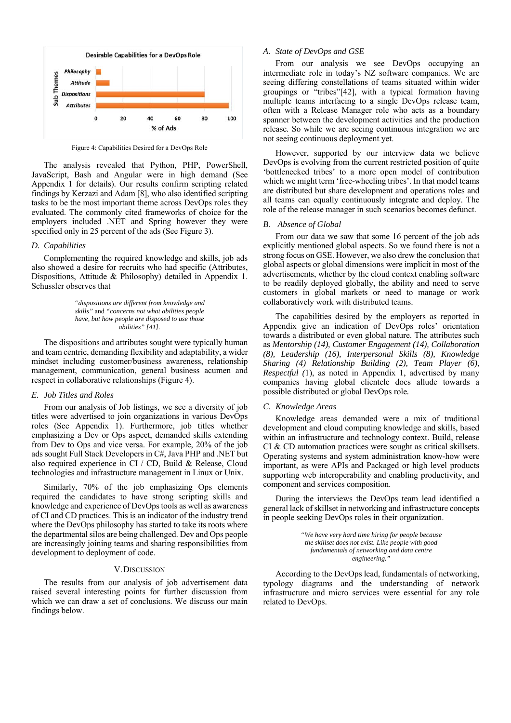

Figure 4: Capabilities Desired for a DevOps Role

The analysis revealed that Python, PHP, PowerShell, JavaScript, Bash and Angular were in high demand (See Appendix 1 for details). Our results confirm scripting related findings by Kerzazi and Adam [8], who also identified scripting tasks to be the most important theme across DevOps roles they evaluated. The commonly cited frameworks of choice for the employers included .NET and Spring however they were specified only in 25 percent of the ads (See Figure 3).

#### *D. Capabilities*

Complementing the required knowledge and skills, job ads also showed a desire for recruits who had specific (Attributes, Dispositions, Attitude & Philosophy) detailed in Appendix 1. Schussler observes that

> *"dispositions are different from knowledge and skills"* and *"concerns not what abilities people have, but how people are disposed to use those abilities" [41].*

The dispositions and attributes sought were typically human and team centric, demanding flexibility and adaptability, a wider mindset including customer/business awareness, relationship management, communication, general business acumen and respect in collaborative relationships (Figure 4).

#### *E. Job Titles and Roles*

From our analysis of Job listings, we see a diversity of job titles were advertised to join organizations in various DevOps roles (See Appendix 1). Furthermore, job titles whether emphasizing a Dev or Ops aspect, demanded skills extending from Dev to Ops and vice versa. For example, 20% of the job ads sought Full Stack Developers in C#, Java PHP and .NET but also required experience in CI / CD, Build & Release, Cloud technologies and infrastructure management in Linux or Unix.

Similarly, 70% of the job emphasizing Ops elements required the candidates to have strong scripting skills and knowledge and experience of DevOps tools as well as awareness of CI and CD practices. This is an indicator of the industry trend where the DevOps philosophy has started to take its roots where the departmental silos are being challenged. Dev and Ops people are increasingly joining teams and sharing responsibilities from development to deployment of code.

## V.DISCUSSION

The results from our analysis of job advertisement data raised several interesting points for further discussion from which we can draw a set of conclusions. We discuss our main findings below.

# *A. State of DevOps and GSE*

From our analysis we see DevOps occupying an intermediate role in today's NZ software companies. We are seeing differing constellations of teams situated within wider groupings or "tribes"[42], with a typical formation having multiple teams interfacing to a single DevOps release team, often with a Release Manager role who acts as a boundary spanner between the development activities and the production release. So while we are seeing continuous integration we are not seeing continuous deployment yet.

However, supported by our interview data we believe DevOps is evolving from the current restricted position of quite 'bottlenecked tribes' to a more open model of contribution which we might term 'free-wheeling tribes'. In that model teams are distributed but share development and operations roles and all teams can equally continuously integrate and deploy. The role of the release manager in such scenarios becomes defunct.

#### *B. Absence of Global*

From our data we saw that some 16 percent of the job ads explicitly mentioned global aspects. So we found there is not a strong focus on GSE. However, we also drew the conclusion that global aspects or global dimensions were implicit in most of the advertisements, whether by the cloud context enabling software to be readily deployed globally, the ability and need to serve customers in global markets or need to manage or work collaboratively work with distributed teams.

The capabilities desired by the employers as reported in Appendix give an indication of DevOps roles' orientation towards a distributed or even global nature. The attributes such as *Mentorship (14), Customer Engagement (14), Collaboration (8), Leadership (16), Interpersonal Skills (8), Knowledge Sharing (4) Relationship Building (2), Team Player (6), Respectful (*1), as noted in Appendix 1, advertised by many companies having global clientele does allude towards a possible distributed or global DevOps role*.* 

#### *C. Knowledge Areas*

Knowledge areas demanded were a mix of traditional development and cloud computing knowledge and skills, based within an infrastructure and technology context. Build, release CI & CD automation practices were sought as critical skillsets. Operating systems and system administration know-how were important, as were APIs and Packaged or high level products supporting web interoperability and enabling productivity, and component and services composition.

During the interviews the DevOps team lead identified a general lack of skillset in networking and infrastructure concepts in people seeking DevOps roles in their organization.

> *"We have very hard time hiring for people because the skillset does not exist. Like people with good fundamentals of networking and data centre*   $e$ *ngineering.*

According to the DevOps lead, fundamentals of networking, typology diagrams and the understanding of network infrastructure and micro services were essential for any role related to DevOps.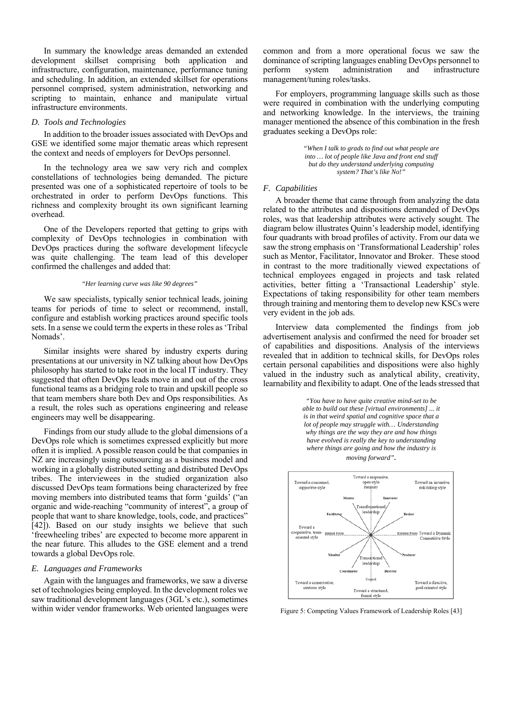In summary the knowledge areas demanded an extended development skillset comprising both application and infrastructure, configuration, maintenance, performance tuning and scheduling. In addition, an extended skillset for operations personnel comprised, system administration, networking and scripting to maintain, enhance and manipulate virtual infrastructure environments.

#### *D. Tools and Technologies*

In addition to the broader issues associated with DevOps and GSE we identified some major thematic areas which represent the context and needs of employers for DevOps personnel.

In the technology area we saw very rich and complex constellations of technologies being demanded. The picture presented was one of a sophisticated repertoire of tools to be orchestrated in order to perform DevOps functions. This richness and complexity brought its own significant learning overhead.

One of the Developers reported that getting to grips with complexity of DevOps technologies in combination with DevOps practices during the software development lifecycle was quite challenging. The team lead of this developer confirmed the challenges and added that:

#### *"Her learning curve was like 90 degrees"*

We saw specialists, typically senior technical leads, joining teams for periods of time to select or recommend, install, configure and establish working practices around specific tools sets. In a sense we could term the experts in these roles as 'Tribal Nomads'.

Similar insights were shared by industry experts during presentations at our university in NZ talking about how DevOps philosophy has started to take root in the local IT industry. They suggested that often DevOps leads move in and out of the cross functional teams as a bridging role to train and upskill people so that team members share both Dev and Ops responsibilities. As a result, the roles such as operations engineering and release engineers may well be disappearing.

Findings from our study allude to the global dimensions of a DevOps role which is sometimes expressed explicitly but more often it is implied. A possible reason could be that companies in NZ are increasingly using outsourcing as a business model and working in a globally distributed setting and distributed DevOps tribes. The interviewees in the studied organization also discussed DevOps team formations being characterized by free moving members into distributed teams that form 'guilds' ("an organic and wide-reaching "community of interest", a group of people that want to share knowledge, tools, code, and practices" [42]). Based on our study insights we believe that such 'freewheeling tribes' are expected to become more apparent in the near future. This alludes to the GSE element and a trend towards a global DevOps role.

#### *E. Languages and Frameworks*

Again with the languages and frameworks, we saw a diverse set of technologies being employed. In the development roles we saw traditional development languages (3GL's etc.), sometimes within wider vendor frameworks. Web oriented languages were common and from a more operational focus we saw the dominance of scripting languages enabling DevOps personnel to perform system administration and infrastructure management/tuning roles/tasks.

For employers, programming language skills such as those were required in combination with the underlying computing and networking knowledge. In the interviews, the training manager mentioned the absence of this combination in the fresh graduates seeking a DevOps role:

> *"When I talk to grads to find out what people are into … lot of people like Java and front end stuff but do they understand underlying computing system? That's like No!"*

### *F. Capabilities*

A broader theme that came through from analyzing the data related to the attributes and dispositions demanded of DevOps roles, was that leadership attributes were actively sought. The diagram below illustrates Quinn's leadership model, identifying four quadrants with broad profiles of activity. From our data we saw the strong emphasis on 'Transformational Leadership' roles such as Mentor, Facilitator, Innovator and Broker. These stood in contrast to the more traditionally viewed expectations of technical employees engaged in projects and task related activities, better fitting a 'Transactional Leadership' style. Expectations of taking responsibility for other team members through training and mentoring them to develop new KSCs were very evident in the job ads.

Interview data complemented the findings from job advertisement analysis and confirmed the need for broader set of capabilities and dispositions. Analysis of the interviews revealed that in addition to technical skills, for DevOps roles certain personal capabilities and dispositions were also highly valued in the industry such as analytical ability, creativity, learnability and flexibility to adapt. One of the leads stressed that

> *"You have to have quite creative mind-set to be able to build out these [virtual environments] ... it is in that weird spatial and cognitive space that a lot of people may struggle with… Understanding why things are the way they are and how things have evolved is really the key to understanding where things are going and how the industry is moving forward".*



Figure 5: Competing Values Framework of Leadership Roles [43]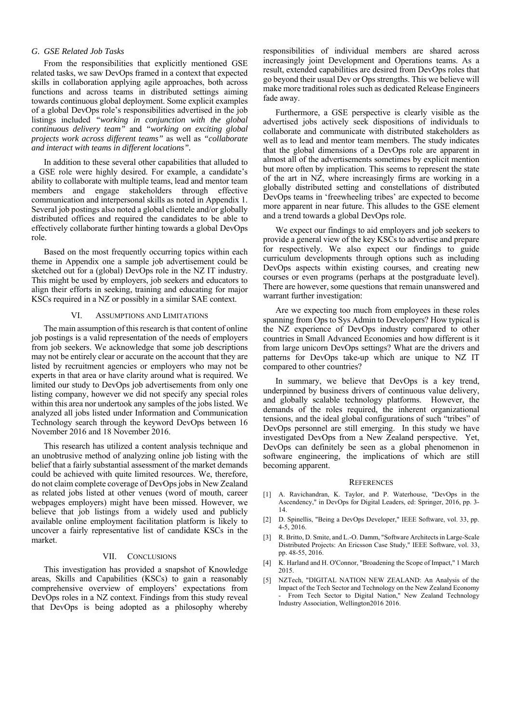# *G. GSE Related Job Tasks*

From the responsibilities that explicitly mentioned GSE related tasks, we saw DevOps framed in a context that expected skills in collaboration applying agile approaches, both across functions and across teams in distributed settings aiming towards continuous global deployment. Some explicit examples of a global DevOps role's responsibilities advertised in the job listings included *"working in conjunction with the global continuous delivery team"* and *"working on exciting global projects work across different teams"* as well as *"collaborate and interact with teams in different locations".* 

In addition to these several other capabilities that alluded to a GSE role were highly desired. For example, a candidate's ability to collaborate with multiple teams, lead and mentor team members and engage stakeholders through effective communication and interpersonal skills as noted in Appendix 1. Several job postings also noted a global clientele and/or globally distributed offices and required the candidates to be able to effectively collaborate further hinting towards a global DevOps role.

Based on the most frequently occurring topics within each theme in Appendix one a sample job advertisement could be sketched out for a (global) DevOps role in the NZ IT industry. This might be used by employers, job seekers and educators to align their efforts in seeking, training and educating for major KSCs required in a NZ or possibly in a similar SAE context.

# VI. ASSUMPTIONS AND LIMITATIONS

The main assumption of this research is that content of online job postings is a valid representation of the needs of employers from job seekers. We acknowledge that some job descriptions may not be entirely clear or accurate on the account that they are listed by recruitment agencies or employers who may not be experts in that area or have clarity around what is required. We limited our study to DevOps job advertisements from only one listing company, however we did not specify any special roles within this area nor undertook any samples of the jobs listed. We analyzed all jobs listed under Information and Communication Technology search through the keyword DevOps between 16 November 2016 and 18 November 2016.

This research has utilized a content analysis technique and an unobtrusive method of analyzing online job listing with the belief that a fairly substantial assessment of the market demands could be achieved with quite limited resources. We, therefore, do not claim complete coverage of DevOps jobs in New Zealand as related jobs listed at other venues (word of mouth, career webpages employers) might have been missed. However, we believe that job listings from a widely used and publicly available online employment facilitation platform is likely to uncover a fairly representative list of candidate KSCs in the market.

#### VII. CONCLUSIONS

This investigation has provided a snapshot of Knowledge areas, Skills and Capabilities (KSCs) to gain a reasonably comprehensive overview of employers' expectations from DevOps roles in a NZ context. Findings from this study reveal that DevOps is being adopted as a philosophy whereby

responsibilities of individual members are shared across increasingly joint Development and Operations teams. As a result, extended capabilities are desired from DevOps roles that go beyond their usual Dev or Ops strengths. This we believe will make more traditional roles such as dedicated Release Engineers fade away.

Furthermore, a GSE perspective is clearly visible as the advertised jobs actively seek dispositions of individuals to collaborate and communicate with distributed stakeholders as well as to lead and mentor team members. The study indicates that the global dimensions of a DevOps role are apparent in almost all of the advertisements sometimes by explicit mention but more often by implication. This seems to represent the state of the art in NZ, where increasingly firms are working in a globally distributed setting and constellations of distributed DevOps teams in 'freewheeling tribes' are expected to become more apparent in near future. This alludes to the GSE element and a trend towards a global DevOps role.

We expect our findings to aid employers and job seekers to provide a general view of the key KSCs to advertise and prepare for respectively. We also expect our findings to guide curriculum developments through options such as including DevOps aspects within existing courses, and creating new courses or even programs (perhaps at the postgraduate level). There are however, some questions that remain unanswered and warrant further investigation:

Are we expecting too much from employees in these roles spanning from Ops to Sys Admin to Developers? How typical is the NZ experience of DevOps industry compared to other countries in Small Advanced Economies and how different is it from large unicorn DevOps settings? What are the drivers and patterns for DevOps take-up which are unique to NZ IT compared to other countries?

In summary, we believe that DevOps is a key trend, underpinned by business drivers of continuous value delivery, and globally scalable technology platforms. However, the demands of the roles required, the inherent organizational tensions, and the ideal global configurations of such "tribes" of DevOps personnel are still emerging. In this study we have investigated DevOps from a New Zealand perspective. Yet, DevOps can definitely be seen as a global phenomenon in software engineering, the implications of which are still becoming apparent.

#### **REFERENCES**

- [1] A. Ravichandran, K. Taylor, and P. Waterhouse, "DevOps in the Ascendency," in DevOps for Digital Leaders, ed: Springer, 2016, pp. 3- 14.
- [2] D. Spinellis, "Being a DevOps Developer," IEEE Software, vol. 33, pp. 4-5, 2016.
- [3] R. Britto, D. Smite, and L.-O. Damm, "Software Architects in Large-Scale Distributed Projects: An Ericsson Case Study," IEEE Software, vol. 33, pp. 48-55, 2016.
- [4] K. Harland and H. O'Connor, "Broadening the Scope of Impact," 1 March 2015.
- [5] NZTech, "DIGITAL NATION NEW ZEALAND: An Analysis of the Impact of the Tech Sector and Technology on the New Zealand Economy - From Tech Sector to Digital Nation," New Zealand Technology Industry Association, Wellington2016 2016.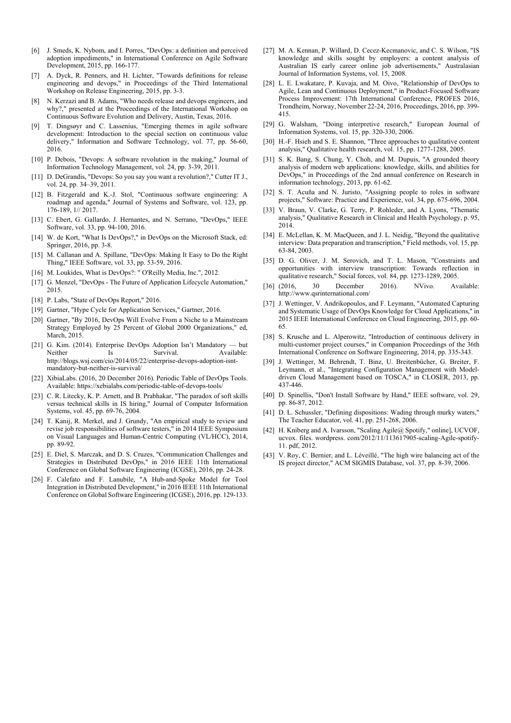- [6] J. Smeds, K. Nybom, and I. Porres, "DevOps: a definition and perceived adoption impediments," in International Conference on Agile Software Development, 2015, pp. 166-177.
- [7] A. Dyck, R. Penners, and H. Lichter, "Towards definitions for release engineering and devops," in Proceedings of the Third International Workshop on Release Engineering, 2015, pp. 3-3.
- [8] N. Kerzazi and B. Adams, "Who needs release and devops engineers, and why?," presented at the Proceedings of the International Workshop on Continuous Software Evolution and Delivery, Austin, Texas, 2016.
- [9] T. Dingsøyr and C. Lassenius, "Emerging themes in agile software development: Introduction to the special section on continuous value delivery," Information and Software Technology, vol. 77, pp. 56-60, 2016.
- [10] P. Debois, "Devops: A software revolution in the making," Journal of Information Technology Management, vol. 24, pp. 3-39, 2011.
- [11] D. DeGrandis, "Devops: So you say you want a revolution?," Cutter IT J., vol. 24, pp. 34–39, 2011.
- [12] B. Fitzgerald and K.-J. Stol, "Continuous software engineering: A roadmap and agenda," Journal of Systems and Software, vol. 123, pp. 176-189, 1// 2017.
- [13] C. Ebert, G. Gallardo, J. Hernantes, and N. Serrano, "DevOps," IEEE Software, vol. 33, pp. 94-100, 2016.
- [14] W. de Kort, "What Is DevOps?," in DevOps on the Microsoft Stack, ed: Springer, 2016, pp. 3-8.
- [15] M. Callanan and A. Spillane, "DevOps: Making It Easy to Do the Right Thing," IEEE Software, vol. 33, pp. 53-59, 2016.
- [16] M. Loukides, What is DevOps?: " O'Reilly Media, Inc.", 2012.
- [17] G. Menzel, "DevOps The Future of Application Lifecycle Automation," 2015.
- [18] P. Labs, "State of DevOps Report," 2016.
- [19] Gartner, "Hype Cycle for Application Services," Gartner, 2016.
- [20] Gartner, "By 2016, DevOps Will Evolve From a Niche to a Mainstream Strategy Employed by 25 Percent of Global 2000 Organizations," ed, March, 2015.
- [21] G. Kim. (2014). Enterprise DevOps Adoption Isn't Mandatory but Neither Is Survival. Available: http://blogs.wsj.com/cio/2014/05/22/enterprise-devops-adoption-isntmandatory-but-neither-is-survival/
- [22] XibiaLabs. (2016, 20 December 2016). Periodic Table of DevOps Tools. Available: https://xebialabs.com/periodic-table-of-devops-tools/
- [23] C. R. Litecky, K. P. Arnett, and B. Prabhakar, "The paradox of soft skills versus technical skills in IS hiring," Journal of Computer Information Systems, vol. 45, pp. 69-76, 2004.
- [24] T. Kanij, R. Merkel, and J. Grundy, "An empirical study to review and revise job responsibilities of software testers," in 2014 IEEE Symposium on Visual Languages and Human-Centric Computing (VL/HCC), 2014, pp. 89-92.
- [25] E. Diel, S. Marczak, and D. S. Cruzes, "Communication Challenges and Strategies in Distributed DevOps," in 2016 IEEE 11th International Conference on Global Software Engineering (ICGSE), 2016, pp. 24-28.
- [26] F. Calefato and F. Lanubile, "A Hub-and-Spoke Model for Tool Integration in Distributed Development," in 2016 IEEE 11th International Conference on Global Software Engineering (ICGSE), 2016, pp. 129-133.
- [27] M. A. Kennan, P. Willard, D. Cecez-Kecmanovic, and C. S. Wilson, "IS knowledge and skills sought by employers: a content analysis of Australian IS early career online job advertisements," Australasian Journal of Information Systems, vol. 15, 2008.
- [28] L. E. Lwakatare, P. Kuvaja, and M. Oivo, "Relationship of DevOps to Agile, Lean and Continuous Deployment," in Product-Focused Software Process Improvement: 17th International Conference, PROFES 2016, Trondheim, Norway, November 22-24, 2016, Proceedings, 2016, pp. 399- 415.
- [29] G. Walsham, "Doing interpretive research," European Journal of Information Systems, vol. 15, pp. 320-330, 2006.
- [30] H.-F. Hsieh and S. E. Shannon, "Three approaches to qualitative content analysis," Qualitative health research, vol. 15, pp. 1277-1288, 2005.
- [31] S. K. Bang, S. Chung, Y. Choh, and M. Dupuis, "A grounded theory analysis of modern web applications: knowledge, skills, and abilities for DevOps," in Proceedings of the 2nd annual conference on Research in information technology, 2013, pp. 61-62.
- [32] S. T. Acuña and N. Juristo, "Assigning people to roles in software projects," Software: Practice and Experience, vol. 34, pp. 675-696, 2004.
- [33] V. Braun, V. Clarke, G. Terry, P. Rohleder, and A. Lyons, "Thematic analysis," Qualitative Research in Clinical and Health Psychology, p. 95, 2014.
- [34] E. McLellan, K. M. MacQueen, and J. L. Neidig, "Beyond the qualitative interview: Data preparation and transcription," Field methods, vol. 15, pp. 63-84, 2003.
- [35] D. G. Oliver, J. M. Serovich, and T. L. Mason, "Constraints and opportunities with interview transcription: Towards reflection in qualitative research," Social forces, vol. 84, pp. 1273-1289, 2005.
- [36] (2016, 30 December 2016). NVivo. Available: http://www.qsrinternational.com/
- [37] J. Wettinger, V. Andrikopoulos, and F. Leymann, "Automated Capturing and Systematic Usage of DevOps Knowledge for Cloud Applications," in 2015 IEEE International Conference on Cloud Engineering, 2015, pp. 60- 65.
- [38] S. Krusche and L. Alperowitz, "Introduction of continuous delivery in multi-customer project courses," in Companion Proceedings of the 36th International Conference on Software Engineering, 2014, pp. 335-343.
- [39] J. Wettinger, M. Behrendt, T. Binz, U. Breitenbücher, G. Breiter, F. Leymann, et al., "Integrating Configuration Management with Modeldriven Cloud Management based on TOSCA," in CLOSER, 2013, pp. 437-446.
- [40] D. Spinellis, "Don't Install Software by Hand," IEEE software, vol. 29, pp. 86-87, 2012.
- [41] D. L. Schussler, "Defining dispositions: Wading through murky waters," The Teacher Educator, vol. 41, pp. 251-268, 2006.
- [42] H. Kniberg and A. Ivarsson, "Scaling Agile@ Spotify," online], UCVOF, ucvox. files. wordpress. com/2012/11/113617905-scaling-Agile-spotify-11. pdf, 2012.
- [43] V. Roy, C. Bernier, and L. Léveillé, "The high wire balancing act of the IS project director," ACM SIGMIS Database, vol. 37, pp. 8-39, 2006.